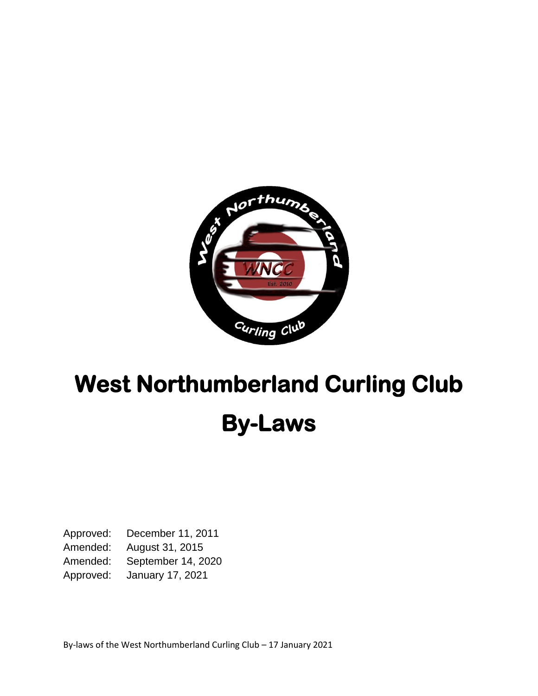

# **West Northumberland Curling Club By-Laws**

Approved: December 11, 2011 Amended: August 31, 2015 Amended: September 14, 2020 Approved: January 17, 2021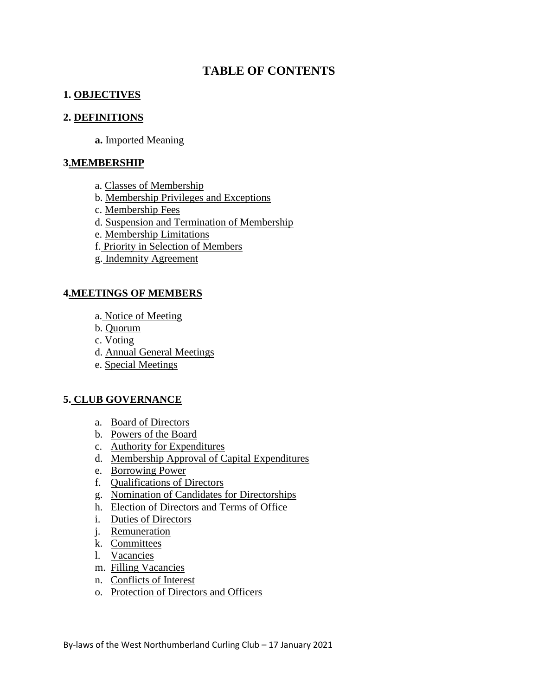# **TABLE OF CONTENTS**

#### **1. OBJECTIVES**

#### **2. DEFINITIONS**

**a.** Imported Meaning

#### **3.MEMBERSHIP**

- a. Classes of Membership
- b. Membership Privileges and Exceptions
- c. Membership Fees
- d. Suspension and Termination of Membership
- e. Membership Limitations
- f. Priority in Selection of Members
- g. Indemnity Agreement

#### **4.MEETINGS OF MEMBERS**

- a. Notice of Meeting
- b. Quorum
- c. Voting
- d. Annual General Meetings
- e. Special Meetings

#### **5. CLUB GOVERNANCE**

- a. Board of Directors
- b. Powers of the Board
- c. Authority for Expenditures
- d. Membership Approval of Capital Expenditures
- e. Borrowing Power
- f. Qualifications of Directors
- g. Nomination of Candidates for Directorships
- h. Election of Directors and Terms of Office
- i. Duties of Directors
- j. Remuneration
- k. Committees
- l. Vacancies
- m. Filling Vacancies
- n. Conflicts of Interest
- o. Protection of Directors and Officers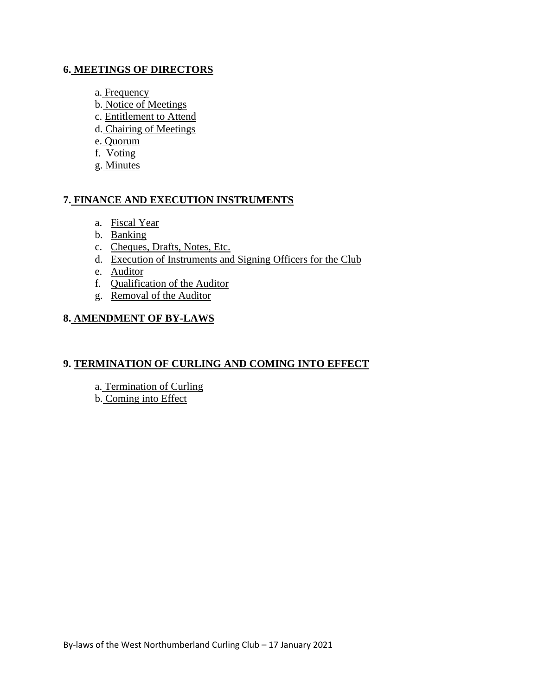#### **6. MEETINGS OF DIRECTORS**

- a. Frequency
- b. Notice of Meetings
- c. Entitlement to Attend
- d. Chairing of Meetings
- e. Quorum
- f. Voting
- g. Minutes

# **7. FINANCE AND EXECUTION INSTRUMENTS**

- a. Fiscal Year
- b. Banking
- c. Cheques, Drafts, Notes, Etc.
- d. Execution of Instruments and Signing Officers for the Club
- e. Auditor
- f. Qualification of the Auditor
- g. Removal of the Auditor

# **8. AMENDMENT OF BY-LAWS**

#### **9. TERMINATION OF CURLING AND COMING INTO EFFECT**

- a. Termination of Curling
- b. Coming into Effect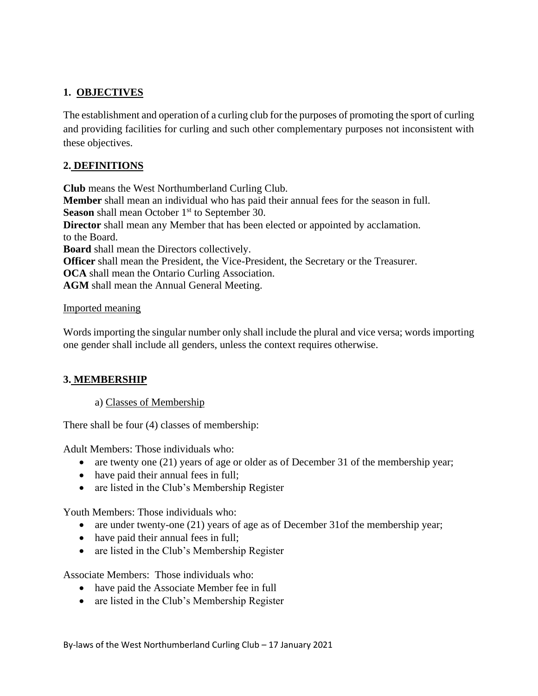# **1. OBJECTIVES**

The establishment and operation of a curling club for the purposes of promoting the sport of curling and providing facilities for curling and such other complementary purposes not inconsistent with these objectives.

# **2. DEFINITIONS**

**Club** means the West Northumberland Curling Club. **Member** shall mean an individual who has paid their annual fees for the season in full. **Season** shall mean October 1<sup>st</sup> to September 30. **Director** shall mean any Member that has been elected or appointed by acclamation. to the Board. **Board** shall mean the Directors collectively. **Officer** shall mean the President, the Vice-President, the Secretary or the Treasurer. **OCA** shall mean the Ontario Curling Association. **AGM** shall mean the Annual General Meeting.

#### Imported meaning

Words importing the singular number only shall include the plural and vice versa; words importing one gender shall include all genders, unless the context requires otherwise.

# **3. MEMBERSHIP**

#### a) Classes of Membership

There shall be four (4) classes of membership:

Adult Members: Those individuals who:

- are twenty one (21) years of age or older as of December 31 of the membership year;
- have paid their annual fees in full;
- are listed in the Club's Membership Register

Youth Members: Those individuals who:

- are under twenty-one (21) years of age as of December 31of the membership year;
- have paid their annual fees in full;
- are listed in the Club's Membership Register

Associate Members: Those individuals who:

- have paid the Associate Member fee in full
- are listed in the Club's Membership Register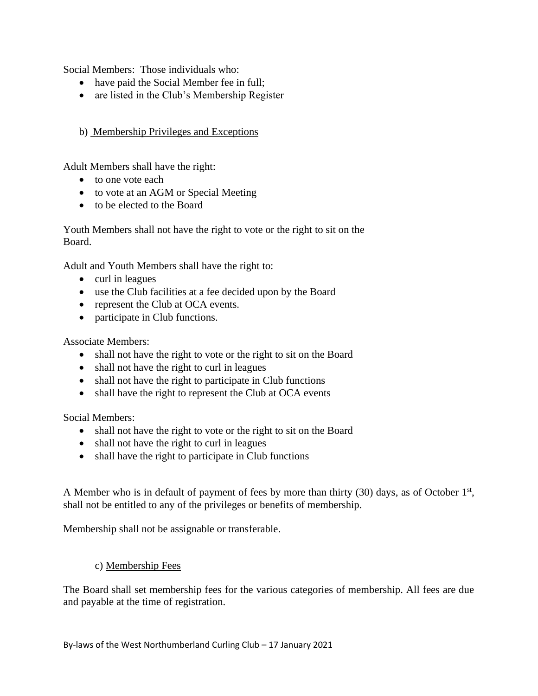Social Members: Those individuals who:

- have paid the Social Member fee in full;
- are listed in the Club's Membership Register

#### b) Membership Privileges and Exceptions

Adult Members shall have the right:

- to one vote each
- to vote at an AGM or Special Meeting
- to be elected to the Board

Youth Members shall not have the right to vote or the right to sit on the Board.

Adult and Youth Members shall have the right to:

- curl in leagues
- use the Club facilities at a fee decided upon by the Board
- represent the Club at OCA events.
- participate in Club functions.

Associate Members:

- shall not have the right to vote or the right to sit on the Board
- shall not have the right to curl in leagues
- shall not have the right to participate in Club functions
- shall have the right to represent the Club at OCA events

Social Members:

- shall not have the right to vote or the right to sit on the Board
- shall not have the right to curl in leagues
- shall have the right to participate in Club functions

A Member who is in default of payment of fees by more than thirty (30) days, as of October 1<sup>st</sup>, shall not be entitled to any of the privileges or benefits of membership.

Membership shall not be assignable or transferable.

#### c) Membership Fees

The Board shall set membership fees for the various categories of membership. All fees are due and payable at the time of registration.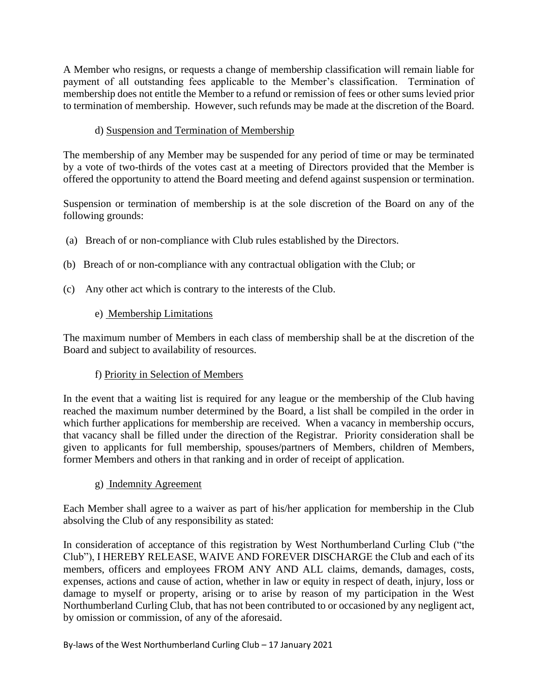A Member who resigns, or requests a change of membership classification will remain liable for payment of all outstanding fees applicable to the Member's classification. Termination of membership does not entitle the Member to a refund or remission of fees or other sums levied prior to termination of membership. However, such refunds may be made at the discretion of the Board.

# d) Suspension and Termination of Membership

The membership of any Member may be suspended for any period of time or may be terminated by a vote of two-thirds of the votes cast at a meeting of Directors provided that the Member is offered the opportunity to attend the Board meeting and defend against suspension or termination.

Suspension or termination of membership is at the sole discretion of the Board on any of the following grounds:

- (a) Breach of or non-compliance with Club rules established by the Directors.
- (b) Breach of or non-compliance with any contractual obligation with the Club; or
- (c) Any other act which is contrary to the interests of the Club.

# e) Membership Limitations

The maximum number of Members in each class of membership shall be at the discretion of the Board and subject to availability of resources.

#### f) Priority in Selection of Members

In the event that a waiting list is required for any league or the membership of the Club having reached the maximum number determined by the Board, a list shall be compiled in the order in which further applications for membership are received. When a vacancy in membership occurs, that vacancy shall be filled under the direction of the Registrar. Priority consideration shall be given to applicants for full membership, spouses/partners of Members, children of Members, former Members and others in that ranking and in order of receipt of application.

#### g) Indemnity Agreement

Each Member shall agree to a waiver as part of his/her application for membership in the Club absolving the Club of any responsibility as stated:

In consideration of acceptance of this registration by West Northumberland Curling Club ("the Club"), I HEREBY RELEASE, WAIVE AND FOREVER DISCHARGE the Club and each of its members, officers and employees FROM ANY AND ALL claims, demands, damages, costs, expenses, actions and cause of action, whether in law or equity in respect of death, injury, loss or damage to myself or property, arising or to arise by reason of my participation in the West Northumberland Curling Club, that has not been contributed to or occasioned by any negligent act, by omission or commission, of any of the aforesaid.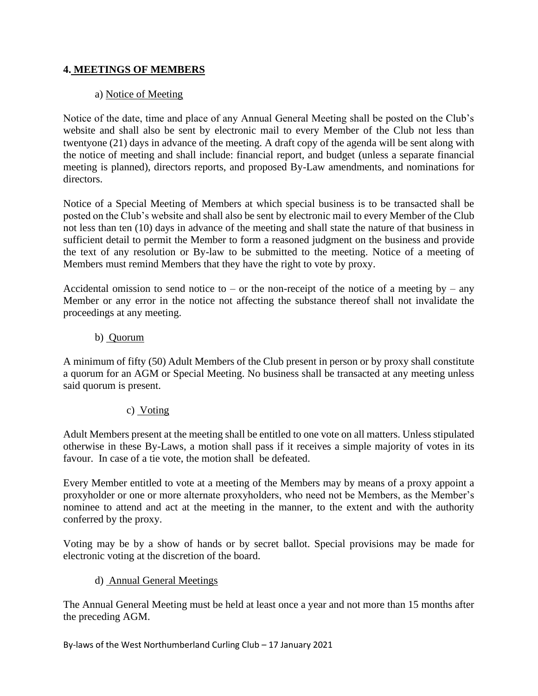# **4. MEETINGS OF MEMBERS**

# a) Notice of Meeting

Notice of the date, time and place of any Annual General Meeting shall be posted on the Club's website and shall also be sent by electronic mail to every Member of the Club not less than twentyone (21) days in advance of the meeting. A draft copy of the agenda will be sent along with the notice of meeting and shall include: financial report, and budget (unless a separate financial meeting is planned), directors reports, and proposed By-Law amendments, and nominations for directors.

Notice of a Special Meeting of Members at which special business is to be transacted shall be posted on the Club's website and shall also be sent by electronic mail to every Member of the Club not less than ten (10) days in advance of the meeting and shall state the nature of that business in sufficient detail to permit the Member to form a reasoned judgment on the business and provide the text of any resolution or By-law to be submitted to the meeting. Notice of a meeting of Members must remind Members that they have the right to vote by proxy.

Accidental omission to send notice to – or the non-receipt of the notice of a meeting by – any Member or any error in the notice not affecting the substance thereof shall not invalidate the proceedings at any meeting.

#### b) Quorum

A minimum of fifty (50) Adult Members of the Club present in person or by proxy shall constitute a quorum for an AGM or Special Meeting. No business shall be transacted at any meeting unless said quorum is present.

#### c) Voting

Adult Members present at the meeting shall be entitled to one vote on all matters. Unless stipulated otherwise in these By-Laws, a motion shall pass if it receives a simple majority of votes in its favour. In case of a tie vote, the motion shall be defeated.

Every Member entitled to vote at a meeting of the Members may by means of a proxy appoint a proxyholder or one or more alternate proxyholders, who need not be Members, as the Member's nominee to attend and act at the meeting in the manner, to the extent and with the authority conferred by the proxy.

Voting may be by a show of hands or by secret ballot. Special provisions may be made for electronic voting at the discretion of the board.

#### d) Annual General Meetings

The Annual General Meeting must be held at least once a year and not more than 15 months after the preceding AGM.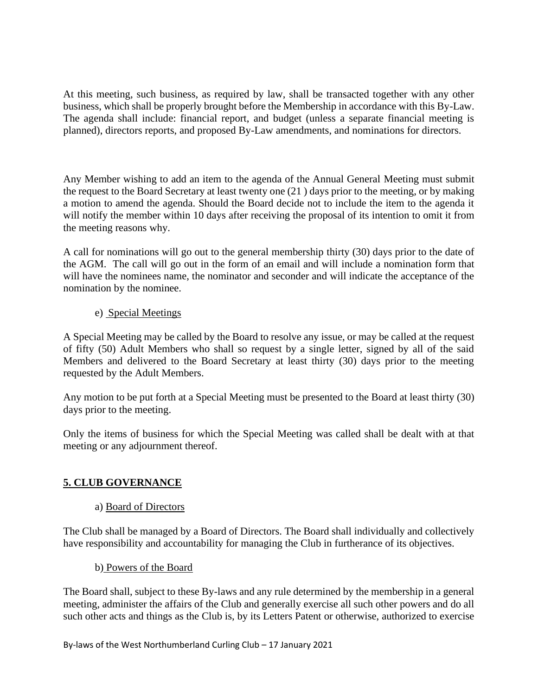At this meeting, such business, as required by law, shall be transacted together with any other business, which shall be properly brought before the Membership in accordance with this By-Law. The agenda shall include: financial report, and budget (unless a separate financial meeting is planned), directors reports, and proposed By-Law amendments, and nominations for directors.

Any Member wishing to add an item to the agenda of the Annual General Meeting must submit the request to the Board Secretary at least twenty one (21 ) days prior to the meeting, or by making a motion to amend the agenda. Should the Board decide not to include the item to the agenda it will notify the member within 10 days after receiving the proposal of its intention to omit it from the meeting reasons why.

A call for nominations will go out to the general membership thirty (30) days prior to the date of the AGM. The call will go out in the form of an email and will include a nomination form that will have the nominees name, the nominator and seconder and will indicate the acceptance of the nomination by the nominee.

# e) Special Meetings

A Special Meeting may be called by the Board to resolve any issue, or may be called at the request of fifty (50) Adult Members who shall so request by a single letter, signed by all of the said Members and delivered to the Board Secretary at least thirty (30) days prior to the meeting requested by the Adult Members.

Any motion to be put forth at a Special Meeting must be presented to the Board at least thirty (30) days prior to the meeting.

Only the items of business for which the Special Meeting was called shall be dealt with at that meeting or any adjournment thereof.

# **5. CLUB GOVERNANCE**

#### a) Board of Directors

The Club shall be managed by a Board of Directors. The Board shall individually and collectively have responsibility and accountability for managing the Club in furtherance of its objectives.

#### b) Powers of the Board

The Board shall, subject to these By-laws and any rule determined by the membership in a general meeting, administer the affairs of the Club and generally exercise all such other powers and do all such other acts and things as the Club is, by its Letters Patent or otherwise, authorized to exercise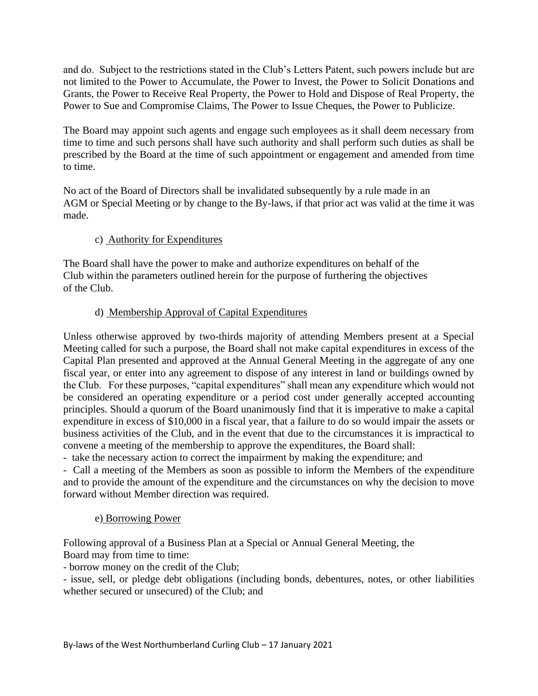and do. Subject to the restrictions stated in the Club's Letters Patent, such powers include but are not limited to the Power to Accumulate, the Power to Invest, the Power to Solicit Donations and Grants, the Power to Receive Real Property, the Power to Hold and Dispose of Real Property, the Power to Sue and Compromise Claims, The Power to Issue Cheques, the Power to Publicize.

The Board may appoint such agents and engage such employees as it shall deem necessary from time to time and such persons shall have such authority and shall perform such duties as shall be prescribed by the Board at the time of such appointment or engagement and amended from time to time.

No act of the Board of Directors shall be invalidated subsequently by a rule made in an AGM or Special Meeting or by change to the By-laws, if that prior act was valid at the time it was made.

# c) Authority for Expenditures

The Board shall have the power to make and authorize expenditures on behalf of the Club within the parameters outlined herein for the purpose of furthering the objectives of the Club.

# d) Membership Approval of Capital Expenditures

Unless otherwise approved by two-thirds majority of attending Members present at a Special Meeting called for such a purpose, the Board shall not make capital expenditures in excess of the Capital Plan presented and approved at the Annual General Meeting in the aggregate of any one fiscal year, or enter into any agreement to dispose of any interest in land or buildings owned by the Club. For these purposes, "capital expenditures" shall mean any expenditure which would not be considered an operating expenditure or a period cost under generally accepted accounting principles. Should a quorum of the Board unanimously find that it is imperative to make a capital expenditure in excess of \$10,000 in a fiscal year, that a failure to do so would impair the assets or business activities of the Club, and in the event that due to the circumstances it is impractical to convene a meeting of the membership to approve the expenditures, the Board shall:

- take the necessary action to correct the impairment by making the expenditure; and

- Call a meeting of the Members as soon as possible to inform the Members of the expenditure and to provide the amount of the expenditure and the circumstances on why the decision to move forward without Member direction was required.

#### e) Borrowing Power

Following approval of a Business Plan at a Special or Annual General Meeting, the Board may from time to time:

- borrow money on the credit of the Club;

- issue, sell, or pledge debt obligations (including bonds, debentures, notes, or other liabilities whether secured or unsecured) of the Club; and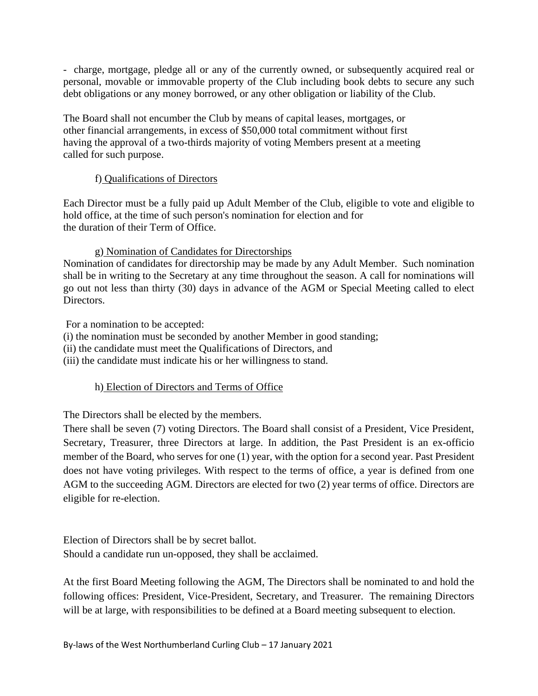- charge, mortgage, pledge all or any of the currently owned, or subsequently acquired real or personal, movable or immovable property of the Club including book debts to secure any such debt obligations or any money borrowed, or any other obligation or liability of the Club.

The Board shall not encumber the Club by means of capital leases, mortgages, or other financial arrangements, in excess of \$50,000 total commitment without first having the approval of a two-thirds majority of voting Members present at a meeting called for such purpose.

#### f) Qualifications of Directors

Each Director must be a fully paid up Adult Member of the Club, eligible to vote and eligible to hold office, at the time of such person's nomination for election and for the duration of their Term of Office.

# g) Nomination of Candidates for Directorships

Nomination of candidates for directorship may be made by any Adult Member. Such nomination shall be in writing to the Secretary at any time throughout the season. A call for nominations will go out not less than thirty (30) days in advance of the AGM or Special Meeting called to elect Directors.

For a nomination to be accepted:

- (i) the nomination must be seconded by another Member in good standing;
- (ii) the candidate must meet the Qualifications of Directors, and
- (iii) the candidate must indicate his or her willingness to stand.

# h) Election of Directors and Terms of Office

The Directors shall be elected by the members.

There shall be seven (7) voting Directors. The Board shall consist of a President, Vice President, Secretary, Treasurer, three Directors at large. In addition, the Past President is an ex-officio member of the Board, who serves for one (1) year, with the option for a second year. Past President does not have voting privileges. With respect to the terms of office, a year is defined from one AGM to the succeeding AGM. Directors are elected for two (2) year terms of office. Directors are eligible for re-election.

Election of Directors shall be by secret ballot. Should a candidate run un-opposed, they shall be acclaimed.

At the first Board Meeting following the AGM, The Directors shall be nominated to and hold the following offices: President, Vice-President, Secretary, and Treasurer. The remaining Directors will be at large, with responsibilities to be defined at a Board meeting subsequent to election.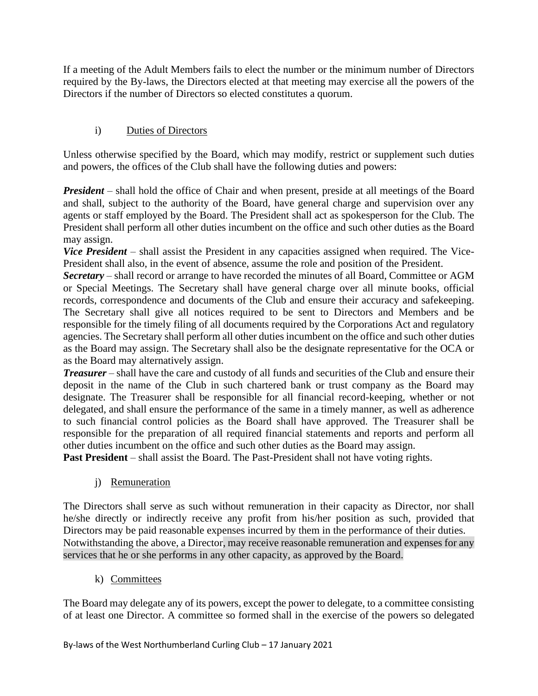If a meeting of the Adult Members fails to elect the number or the minimum number of Directors required by the By-laws, the Directors elected at that meeting may exercise all the powers of the Directors if the number of Directors so elected constitutes a quorum.

# i) Duties of Directors

Unless otherwise specified by the Board, which may modify, restrict or supplement such duties and powers, the offices of the Club shall have the following duties and powers:

*President* – shall hold the office of Chair and when present, preside at all meetings of the Board and shall, subject to the authority of the Board, have general charge and supervision over any agents or staff employed by the Board. The President shall act as spokesperson for the Club. The President shall perform all other duties incumbent on the office and such other duties as the Board may assign.

*Vice President* – shall assist the President in any capacities assigned when required. The Vice-President shall also, in the event of absence, assume the role and position of the President.

*Secretary* – shall record or arrange to have recorded the minutes of all Board, Committee or AGM or Special Meetings. The Secretary shall have general charge over all minute books, official records, correspondence and documents of the Club and ensure their accuracy and safekeeping. The Secretary shall give all notices required to be sent to Directors and Members and be responsible for the timely filing of all documents required by the Corporations Act and regulatory agencies. The Secretary shall perform all other duties incumbent on the office and such other duties as the Board may assign. The Secretary shall also be the designate representative for the OCA or as the Board may alternatively assign.

*Treasurer* – shall have the care and custody of all funds and securities of the Club and ensure their deposit in the name of the Club in such chartered bank or trust company as the Board may designate. The Treasurer shall be responsible for all financial record-keeping, whether or not delegated, and shall ensure the performance of the same in a timely manner, as well as adherence to such financial control policies as the Board shall have approved. The Treasurer shall be responsible for the preparation of all required financial statements and reports and perform all other duties incumbent on the office and such other duties as the Board may assign.

**Past President** – shall assist the Board. The Past-President shall not have voting rights.

j) Remuneration

The Directors shall serve as such without remuneration in their capacity as Director, nor shall he/she directly or indirectly receive any profit from his/her position as such, provided that Directors may be paid reasonable expenses incurred by them in the performance of their duties. Notwithstanding the above, a Director, may receive reasonable remuneration and expenses for any services that he or she performs in any other capacity, as approved by the Board.

k) Committees

The Board may delegate any of its powers, except the power to delegate, to a committee consisting of at least one Director. A committee so formed shall in the exercise of the powers so delegated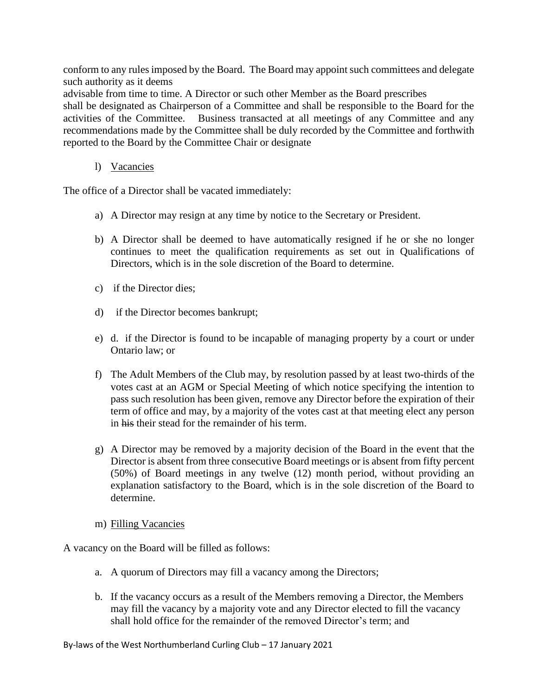conform to any rules imposed by the Board. The Board may appoint such committees and delegate such authority as it deems

advisable from time to time. A Director or such other Member as the Board prescribes

shall be designated as Chairperson of a Committee and shall be responsible to the Board for the activities of the Committee. Business transacted at all meetings of any Committee and any recommendations made by the Committee shall be duly recorded by the Committee and forthwith reported to the Board by the Committee Chair or designate

#### l) Vacancies

The office of a Director shall be vacated immediately:

- a) A Director may resign at any time by notice to the Secretary or President.
- b) A Director shall be deemed to have automatically resigned if he or she no longer continues to meet the qualification requirements as set out in Qualifications of Directors, which is in the sole discretion of the Board to determine.
- c) if the Director dies;
- d) if the Director becomes bankrupt;
- e) d. if the Director is found to be incapable of managing property by a court or under Ontario law; or
- f) The Adult Members of the Club may, by resolution passed by at least two-thirds of the votes cast at an AGM or Special Meeting of which notice specifying the intention to pass such resolution has been given, remove any Director before the expiration of their term of office and may, by a majority of the votes cast at that meeting elect any person in his their stead for the remainder of his term.
- g) A Director may be removed by a majority decision of the Board in the event that the Director is absent from three consecutive Board meetings or is absent from fifty percent (50%) of Board meetings in any twelve (12) month period, without providing an explanation satisfactory to the Board, which is in the sole discretion of the Board to determine.
- m) Filling Vacancies

A vacancy on the Board will be filled as follows:

- a. A quorum of Directors may fill a vacancy among the Directors;
- b. If the vacancy occurs as a result of the Members removing a Director, the Members may fill the vacancy by a majority vote and any Director elected to fill the vacancy shall hold office for the remainder of the removed Director's term; and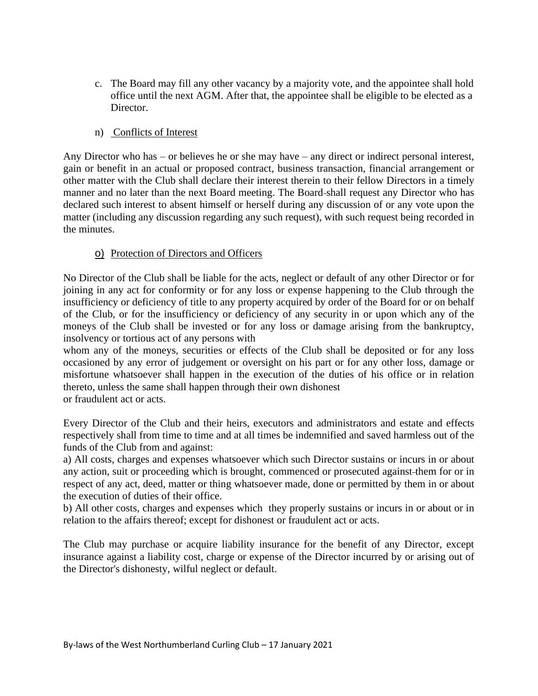- c. The Board may fill any other vacancy by a majority vote, and the appointee shall hold office until the next AGM. After that, the appointee shall be eligible to be elected as a Director.
- n) Conflicts of Interest

Any Director who has – or believes he or she may have – any direct or indirect personal interest, gain or benefit in an actual or proposed contract, business transaction, financial arrangement or other matter with the Club shall declare their interest therein to their fellow Directors in a timely manner and no later than the next Board meeting. The Board shall request any Director who has declared such interest to absent himself or herself during any discussion of or any vote upon the matter (including any discussion regarding any such request), with such request being recorded in the minutes.

#### o) Protection of Directors and Officers

No Director of the Club shall be liable for the acts, neglect or default of any other Director or for joining in any act for conformity or for any loss or expense happening to the Club through the insufficiency or deficiency of title to any property acquired by order of the Board for or on behalf of the Club, or for the insufficiency or deficiency of any security in or upon which any of the moneys of the Club shall be invested or for any loss or damage arising from the bankruptcy, insolvency or tortious act of any persons with

whom any of the moneys, securities or effects of the Club shall be deposited or for any loss occasioned by any error of judgement or oversight on his part or for any other loss, damage or misfortune whatsoever shall happen in the execution of the duties of his office or in relation thereto, unless the same shall happen through their own dishonest or fraudulent act or acts.

Every Director of the Club and their heirs, executors and administrators and estate and effects respectively shall from time to time and at all times be indemnified and saved harmless out of the funds of the Club from and against:

a) All costs, charges and expenses whatsoever which such Director sustains or incurs in or about any action, suit or proceeding which is brought, commenced or prosecuted against them for or in respect of any act, deed, matter or thing whatsoever made, done or permitted by them in or about the execution of duties of their office.

b) All other costs, charges and expenses which they properly sustains or incurs in or about or in relation to the affairs thereof; except for dishonest or fraudulent act or acts.

The Club may purchase or acquire liability insurance for the benefit of any Director, except insurance against a liability cost, charge or expense of the Director incurred by or arising out of the Director's dishonesty, wilful neglect or default.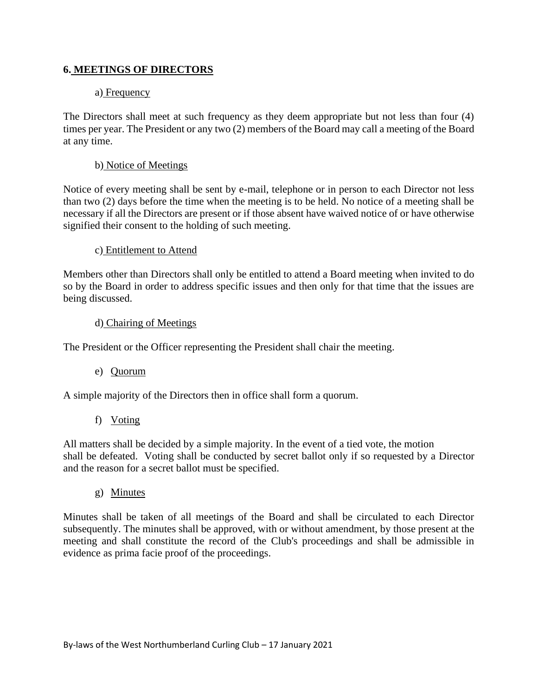#### **6. MEETINGS OF DIRECTORS**

#### a) Frequency

The Directors shall meet at such frequency as they deem appropriate but not less than four (4) times per year. The President or any two (2) members of the Board may call a meeting of the Board at any time.

#### b) Notice of Meetings

Notice of every meeting shall be sent by e-mail, telephone or in person to each Director not less than two (2) days before the time when the meeting is to be held. No notice of a meeting shall be necessary if all the Directors are present or if those absent have waived notice of or have otherwise signified their consent to the holding of such meeting.

#### c) Entitlement to Attend

Members other than Directors shall only be entitled to attend a Board meeting when invited to do so by the Board in order to address specific issues and then only for that time that the issues are being discussed.

#### d) Chairing of Meetings

The President or the Officer representing the President shall chair the meeting.

#### e) Quorum

A simple majority of the Directors then in office shall form a quorum.

#### f) Voting

All matters shall be decided by a simple majority. In the event of a tied vote, the motion shall be defeated. Voting shall be conducted by secret ballot only if so requested by a Director and the reason for a secret ballot must be specified.

#### g) Minutes

Minutes shall be taken of all meetings of the Board and shall be circulated to each Director subsequently. The minutes shall be approved, with or without amendment, by those present at the meeting and shall constitute the record of the Club's proceedings and shall be admissible in evidence as prima facie proof of the proceedings.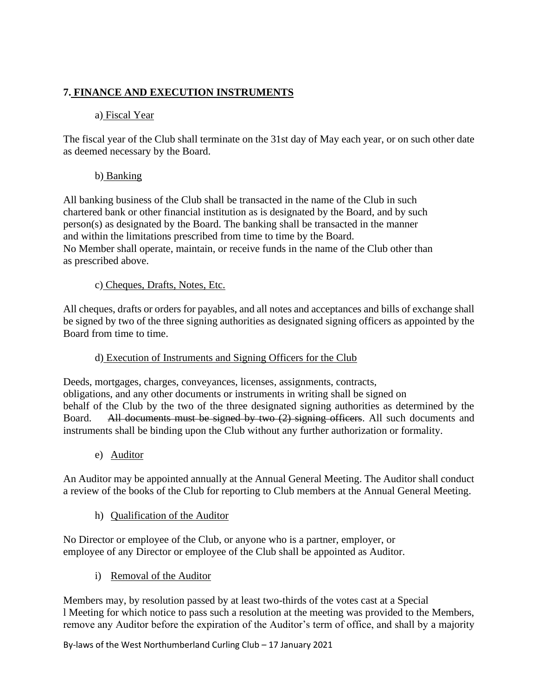# **7. FINANCE AND EXECUTION INSTRUMENTS**

# a) Fiscal Year

The fiscal year of the Club shall terminate on the 31st day of May each year, or on such other date as deemed necessary by the Board.

# b) Banking

All banking business of the Club shall be transacted in the name of the Club in such chartered bank or other financial institution as is designated by the Board, and by such person(s) as designated by the Board. The banking shall be transacted in the manner and within the limitations prescribed from time to time by the Board. No Member shall operate, maintain, or receive funds in the name of the Club other than as prescribed above.

# c) Cheques, Drafts, Notes, Etc.

All cheques, drafts or orders for payables, and all notes and acceptances and bills of exchange shall be signed by two of the three signing authorities as designated signing officers as appointed by the Board from time to time.

# d) Execution of Instruments and Signing Officers for the Club

Deeds, mortgages, charges, conveyances, licenses, assignments, contracts, obligations, and any other documents or instruments in writing shall be signed on behalf of the Club by the two of the three designated signing authorities as determined by the Board. All documents must be signed by two (2) signing officers. All such documents and instruments shall be binding upon the Club without any further authorization or formality.

e) Auditor

An Auditor may be appointed annually at the Annual General Meeting. The Auditor shall conduct a review of the books of the Club for reporting to Club members at the Annual General Meeting.

h) Qualification of the Auditor

No Director or employee of the Club, or anyone who is a partner, employer, or employee of any Director or employee of the Club shall be appointed as Auditor.

i) Removal of the Auditor

Members may, by resolution passed by at least two-thirds of the votes cast at a Special l Meeting for which notice to pass such a resolution at the meeting was provided to the Members, remove any Auditor before the expiration of the Auditor's term of office, and shall by a majority